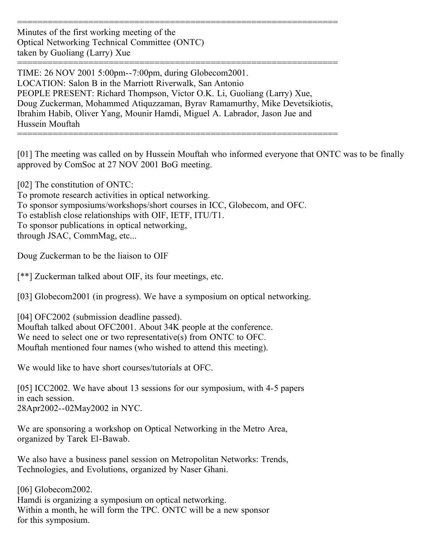Minutes of the first working meeting of the Optical Networking Technical Committee (ONTC) taken by Guoliang (Larry) Xue

=============================================================== TIME: 26 NOV 2001 5:00pm--7:00pm, during Globecom2001. LOCATION: Salon B in the Marriott Riverwalk, San Antonio PEOPLE PRESENT: Richard Thompson, Victor O.K. Li, Guoliang (Larry) Xue, Doug Zuckerman, Mohammed Atiquzzaman, Byrav Ramamurthy, Mike Devetsikiotis, Ibrahim Habib, Oliver Yang, Mounir Hamdi, Miguel A. Labrador, Jason Jue and Hussein Mouftah

===============================================================

===============================================================

[01] The meeting was called on by Hussein Mouftah who informed everyone that ONTC was to be finally approved by ComSoc at 27 NOV 2001 BoG meeting.

[02] The constitution of ONTC:

To promote research activities in optical networking. To sponsor symposiums/workshops/short courses in ICC, Globecom, and OFC. To establish close relationships with OIF, IETF, ITU/T1. To sponsor publications in optical networking, through JSAC, CommMag, etc...

Doug Zuckerman to be the liaison to OIF

[\*\*] Zuckerman talked about OIF, its four meetings, etc.

[03] Globecom2001 (in progress). We have a symposium on optical networking.

[04] OFC2002 (submission deadline passed). Mouftah talked about OFC2001. About 34K people at the conference. We need to select one or two representative(s) from ONTC to OFC. Mouftah mentioned four names (who wished to attend this meeting).

We would like to have short courses/tutorials at OFC.

[05] ICC2002. We have about 13 sessions for our symposium, with 4-5 papers in each session. 28Apr2002--02May2002 in NYC.

We are sponsoring a workshop on Optical Networking in the Metro Area, organized by Tarek El-Bawab.

We also have a business panel session on Metropolitan Networks: Trends, Technologies, and Evolutions, organized by Naser Ghani.

[06] Globecom2002. Hamdi is organizing a symposium on optical networking. Within a month, he will form the TPC. ONTC will be a new sponsor for this symposium.